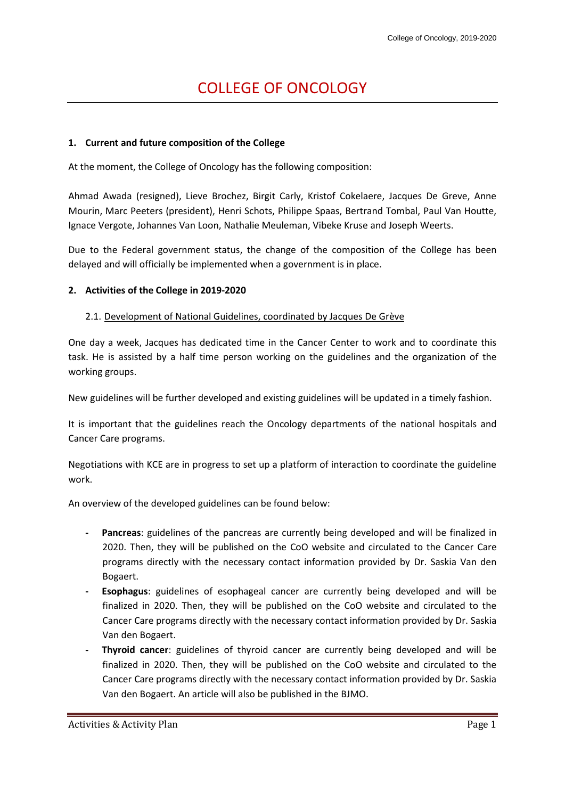# COLLEGE OF ONCOLOGY

## **1. Current and future composition of the College**

At the moment, the College of Oncology has the following composition:

Ahmad Awada (resigned), Lieve Brochez, Birgit Carly, Kristof Cokelaere, Jacques De Greve, Anne Mourin, Marc Peeters (president), Henri Schots, Philippe Spaas, Bertrand Tombal, Paul Van Houtte, Ignace Vergote, Johannes Van Loon, Nathalie Meuleman, Vibeke Kruse and Joseph Weerts.

Due to the Federal government status, the change of the composition of the College has been delayed and will officially be implemented when a government is in place.

#### **2. Activities of the College in 2019-2020**

#### 2.1. Development of National Guidelines, coordinated by Jacques De Grève

One day a week, Jacques has dedicated time in the Cancer Center to work and to coordinate this task. He is assisted by a half time person working on the guidelines and the organization of the working groups.

New guidelines will be further developed and existing guidelines will be updated in a timely fashion.

It is important that the guidelines reach the Oncology departments of the national hospitals and Cancer Care programs.

Negotiations with KCE are in progress to set up a platform of interaction to coordinate the guideline work.

An overview of the developed guidelines can be found below:

- **- Pancreas**: guidelines of the pancreas are currently being developed and will be finalized in 2020. Then, they will be published on the CoO website and circulated to the Cancer Care programs directly with the necessary contact information provided by Dr. Saskia Van den Bogaert.
- **- Esophagus**: guidelines of esophageal cancer are currently being developed and will be finalized in 2020. Then, they will be published on the CoO website and circulated to the Cancer Care programs directly with the necessary contact information provided by Dr. Saskia Van den Bogaert.
- **- Thyroid cancer**: guidelines of thyroid cancer are currently being developed and will be finalized in 2020. Then, they will be published on the CoO website and circulated to the Cancer Care programs directly with the necessary contact information provided by Dr. Saskia Van den Bogaert. An article will also be published in the BJMO.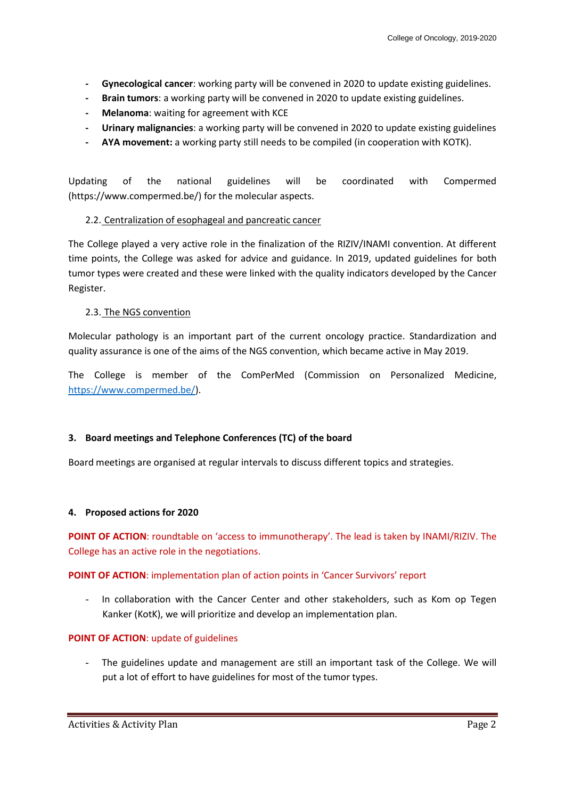- **- Gynecological cancer**: working party will be convened in 2020 to update existing guidelines.
- **- Brain tumors**: a working party will be convened in 2020 to update existing guidelines.
- **- Melanoma**: waiting for agreement with KCE
- **- Urinary malignancies**: a working party will be convened in 2020 to update existing guidelines
- **- AYA movement:** a working party still needs to be compiled (in cooperation with KOTK).

Updating of the national guidelines will be coordinated with Compermed (https://www.compermed.be/) for the molecular aspects.

#### 2.2. Centralization of esophageal and pancreatic cancer

The College played a very active role in the finalization of the RIZIV/INAMI convention. At different time points, the College was asked for advice and guidance. In 2019, updated guidelines for both tumor types were created and these were linked with the quality indicators developed by the Cancer Register.

#### 2.3. The NGS convention

Molecular pathology is an important part of the current oncology practice. Standardization and quality assurance is one of the aims of the NGS convention, which became active in May 2019.

The College is member of the ComPerMed (Commission on Personalized Medicine, [https://www.compermed.be/\)](https://www.compermed.be/).

# **3. Board meetings and Telephone Conferences (TC) of the board**

Board meetings are organised at regular intervals to discuss different topics and strategies.

# **4. Proposed actions for 2020**

**POINT OF ACTION**: roundtable on 'access to immunotherapy'. The lead is taken by INAMI/RIZIV. The College has an active role in the negotiations.

# **POINT OF ACTION**: implementation plan of action points in 'Cancer Survivors' report

In collaboration with the Cancer Center and other stakeholders, such as Kom op Tegen Kanker (KotK), we will prioritize and develop an implementation plan.

# **POINT OF ACTION**: update of guidelines

The guidelines update and management are still an important task of the College. We will put a lot of effort to have guidelines for most of the tumor types.